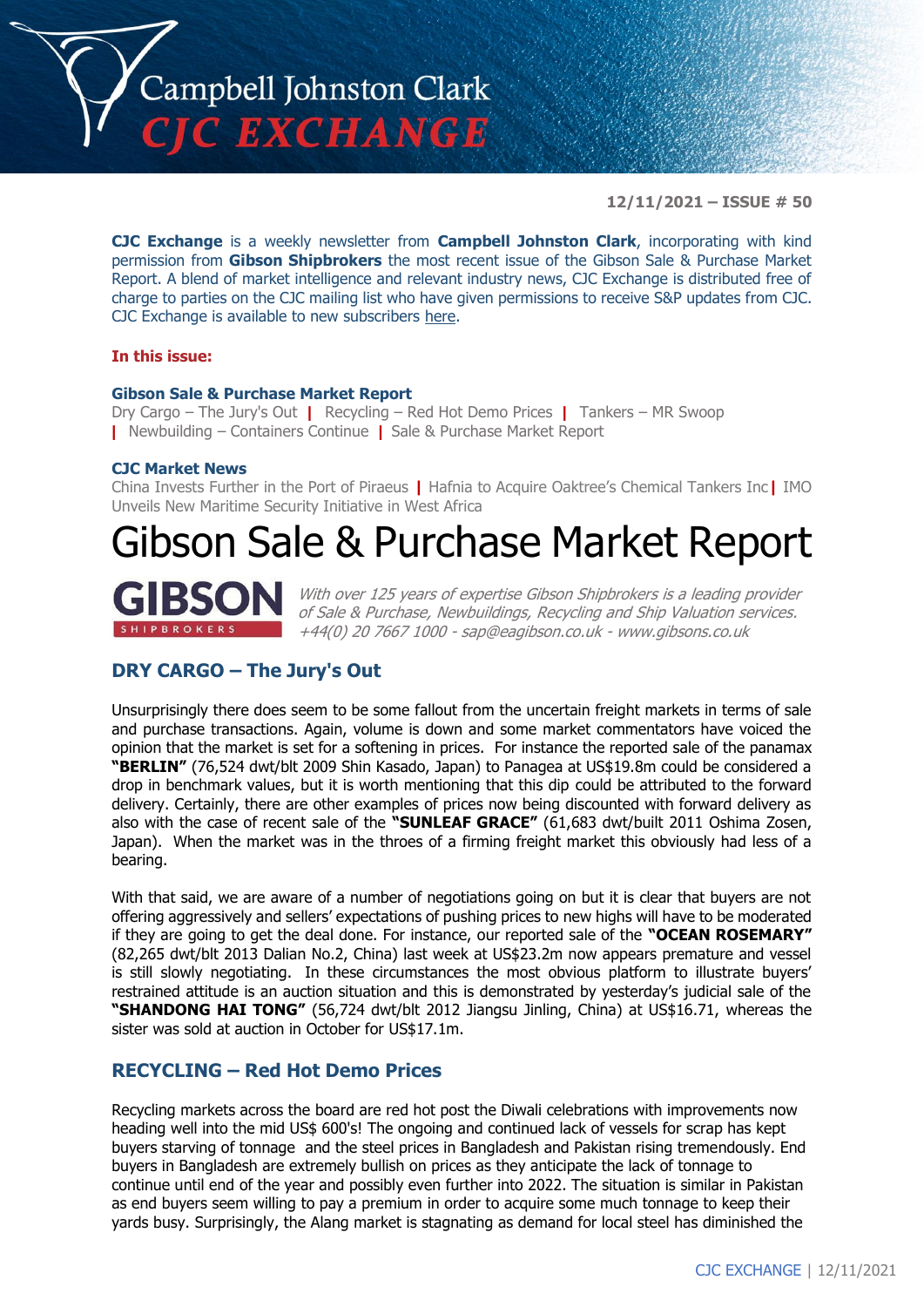

**12/11/2021 – ISSUE # 50**

**CJC Exchange** is a weekly newsletter from **Campbell Johnston Clark**, incorporating with kind permission from **Gibson Shipbrokers** the most recent issue of the Gibson Sale & Purchase Market Report. A blend of market intelligence and relevant industry news, CJC Exchange is distributed free of charge to parties on the CJC mailing list who have given permissions to receive S&P updates from CJC. CJC Exchange is available to new subscribers [here.](mailto:jamesc@cjclaw.com?subject=CJC%20Exchange%20sign-up)

#### **In this issue:**

#### **Gibson Sale & Purchase Market Report**

Dry Cargo – The Jury's Out **|** Recycling – Red Hot Demo Prices **|** Tankers – MR Swoop **|** Newbuilding – Containers Continue **|** Sale & Purchase Market Report

#### **CJC Market News**

China Invests Further in the Port of Piraeus **|** Hafnia to Acquire Oaktree's Chemical Tankers Inc**|** IMO Unveils New Maritime Security Initiative in West Africa

## Gibson Sale & Purchase Market Report



With over 125 years of expertise Gibson Shipbrokers is a leading provider of Sale & Purchase, Newbuildings, Recycling and Ship Valuation services. +44(0) 20 7667 1000 - [sap@eagibson.co.uk](mailto:sap@eagibson.co.uk) - [www.gibsons.co.uk](https://protect-eu.mimecast.com/s/VO6nCGZzRS60KqcK1jQh/)

## **DRY CARGO – The Jury's Out**

Unsurprisingly there does seem to be some fallout from the uncertain freight markets in terms of sale and purchase transactions. Again, volume is down and some market commentators have voiced the opinion that the market is set for a softening in prices. For instance the reported sale of the panamax **"BERLIN"** (76,524 dwt/blt 2009 Shin Kasado, Japan) to Panagea at US\$19.8m could be considered a drop in benchmark values, but it is worth mentioning that this dip could be attributed to the forward delivery. Certainly, there are other examples of prices now being discounted with forward delivery as also with the case of recent sale of the **"SUNLEAF GRACE"** (61,683 dwt/built 2011 Oshima Zosen, Japan). When the market was in the throes of a firming freight market this obviously had less of a bearing.

With that said, we are aware of a number of negotiations going on but it is clear that buyers are not offering aggressively and sellers' expectations of pushing prices to new highs will have to be moderated if they are going to get the deal done. For instance, our reported sale of the **"OCEAN ROSEMARY"** (82,265 dwt/blt 2013 Dalian No.2, China) last week at US\$23.2m now appears premature and vessel is still slowly negotiating. In these circumstances the most obvious platform to illustrate buyers' restrained attitude is an auction situation and this is demonstrated by yesterday's judicial sale of the **"SHANDONG HAI TONG"** (56,724 dwt/blt 2012 Jiangsu Jinling, China) at US\$16.71, whereas the sister was sold at auction in October for US\$17.1m.

## **RECYCLING – Red Hot Demo Prices**

Recycling markets across the board are red hot post the Diwali celebrations with improvements now heading well into the mid US\$ 600's! The ongoing and continued lack of vessels for scrap has kept buyers starving of tonnage and the steel prices in Bangladesh and Pakistan rising tremendously. End buyers in Bangladesh are extremely bullish on prices as they anticipate the lack of tonnage to continue until end of the year and possibly even further into 2022. The situation is similar in Pakistan as end buyers seem willing to pay a premium in order to acquire some much tonnage to keep their yards busy. Surprisingly, the Alang market is stagnating as demand for local steel has diminished the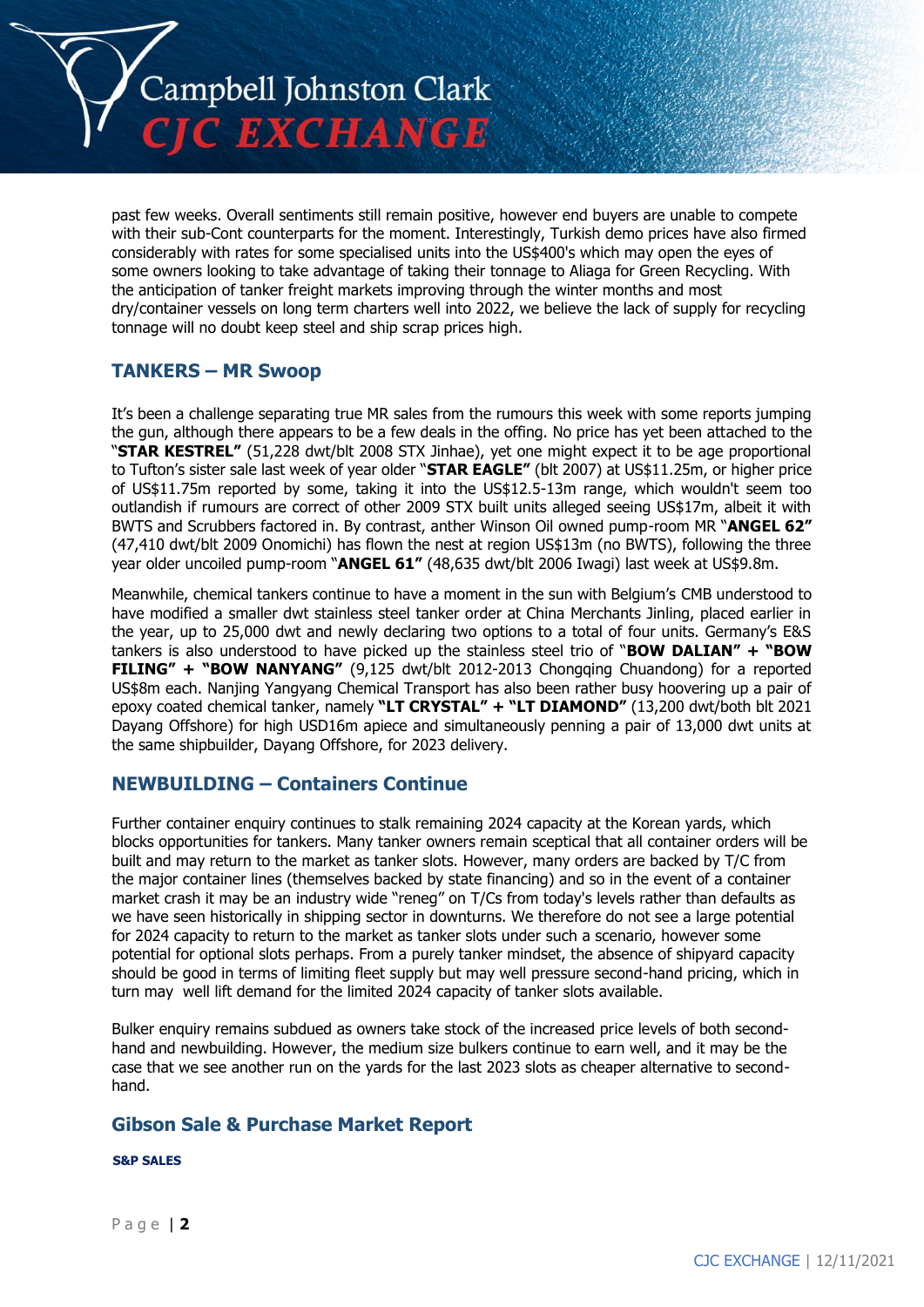

past few weeks. Overall sentiments still remain positive, however end buyers are unable to compete with their sub-Cont counterparts for the moment. Interestingly, Turkish demo prices have also firmed considerably with rates for some specialised units into the US\$400's which may open the eyes of some owners looking to take advantage of taking their tonnage to Aliaga for Green Recycling. With the anticipation of tanker freight markets improving through the winter months and most dry/container vessels on long term charters well into 2022, we believe the lack of supply for recycling tonnage will no doubt keep steel and ship scrap prices high.

## **TANKERS – MR Swoop**

It's been a challenge separating true MR sales from the rumours this week with some reports jumping the gun, although there appears to be a few deals in the offing. No price has yet been attached to the "**STAR KESTREL"** (51,228 dwt/blt 2008 STX Jinhae), yet one might expect it to be age proportional to Tufton's sister sale last week of year older "**STAR EAGLE"** (blt 2007) at US\$11.25m, or higher price of US\$11.75m reported by some, taking it into the US\$12.5-13m range, which wouldn't seem too outlandish if rumours are correct of other 2009 STX built units alleged seeing US\$17m, albeit it with BWTS and Scrubbers factored in. By contrast, anther Winson Oil owned pump-room MR "**ANGEL 62"** (47,410 dwt/blt 2009 Onomichi) has flown the nest at region US\$13m (no BWTS), following the three year older uncoiled pump-room "**ANGEL 61"** (48,635 dwt/blt 2006 Iwagi) last week at US\$9.8m.

Meanwhile, chemical tankers continue to have a moment in the sun with Belgium's CMB understood to have modified a smaller dwt stainless steel tanker order at China Merchants Jinling, placed earlier in the year, up to 25,000 dwt and newly declaring two options to a total of four units. Germany's E&S tankers is also understood to have picked up the stainless steel trio of "**BOW DALIAN" + "BOW FILING" + "BOW NANYANG"** (9,125 dwt/blt 2012-2013 Chongqing Chuandong) for a reported US\$8m each. Nanjing Yangyang Chemical Transport has also been rather busy hoovering up a pair of epoxy coated chemical tanker, namely **"LT CRYSTAL" + "LT DIAMOND"** (13,200 dwt/both blt 2021 Dayang Offshore) for high USD16m apiece and simultaneously penning a pair of 13,000 dwt units at the same shipbuilder, Dayang Offshore, for 2023 delivery.

## **NEWBUILDING – Containers Continue**

Further container enquiry continues to stalk remaining 2024 capacity at the Korean yards, which blocks opportunities for tankers. Many tanker owners remain sceptical that all container orders will be built and may return to the market as tanker slots. However, many orders are backed by T/C from the major container lines (themselves backed by state financing) and so in the event of a container market crash it may be an industry wide "reneg" on T/Cs from today's levels rather than defaults as we have seen historically in shipping sector in downturns. We therefore do not see a large potential for 2024 capacity to return to the market as tanker slots under such a scenario, however some potential for optional slots perhaps. From a purely tanker mindset, the absence of shipyard capacity should be good in terms of limiting fleet supply but may well pressure second-hand pricing, which in turn may well lift demand for the limited 2024 capacity of tanker slots available.

Bulker enquiry remains subdued as owners take stock of the increased price levels of both secondhand and newbuilding. However, the medium size bulkers continue to earn well, and it may be the case that we see another run on the yards for the last 2023 slots as cheaper alternative to secondhand.

## **Gibson Sale & Purchase Market Report**

**S&P SALES**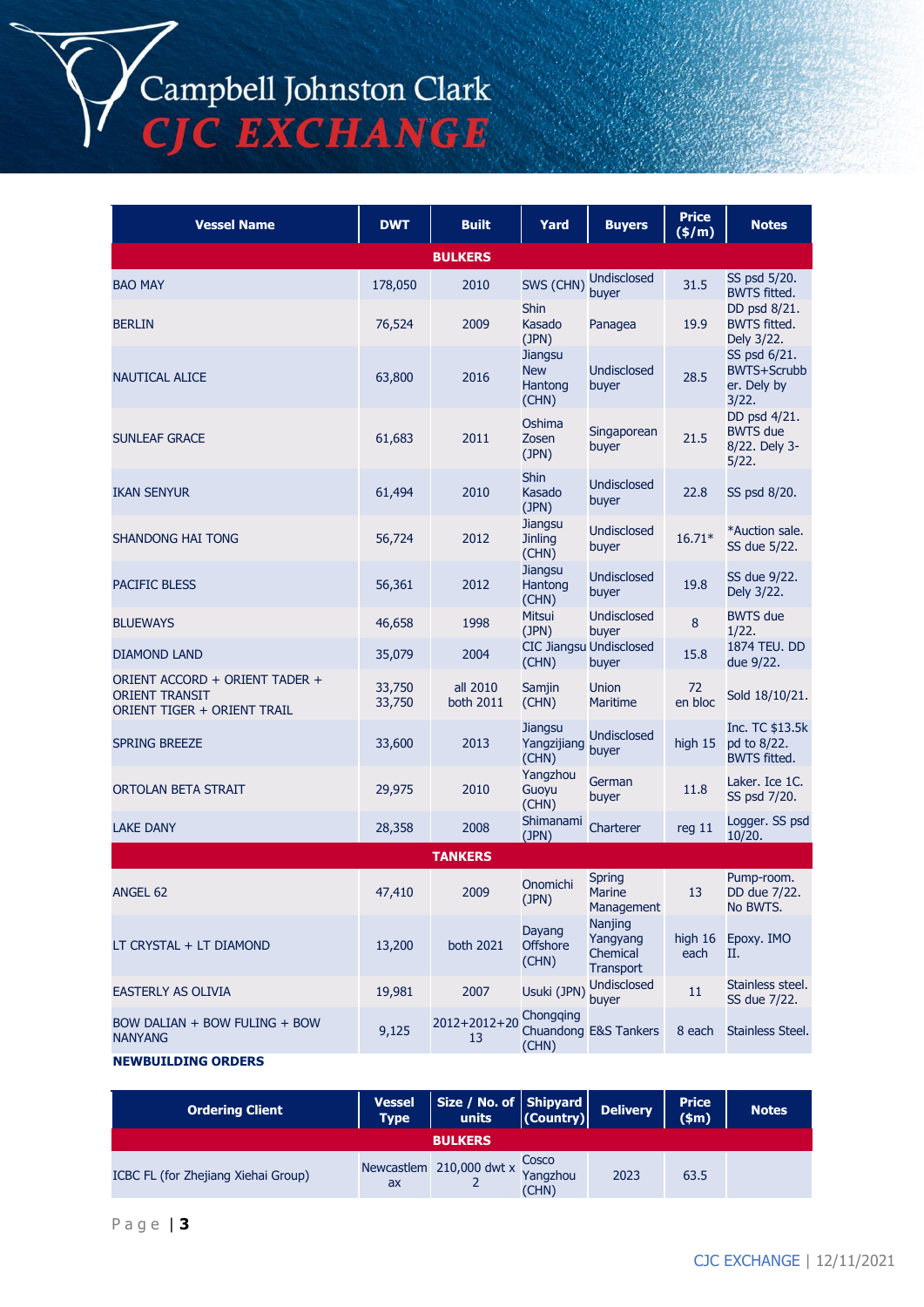Campbell Johnston Clark<br>CJC EXCHANGE

| <b>Vessel Name</b>                                                                     | <b>DWT</b>       | <b>Built</b>          | Yard                                             | <b>Buyers</b>                                       | <b>Price</b><br>(\$/m) | <b>Notes</b>                                               |
|----------------------------------------------------------------------------------------|------------------|-----------------------|--------------------------------------------------|-----------------------------------------------------|------------------------|------------------------------------------------------------|
|                                                                                        |                  | <b>BULKERS</b>        |                                                  |                                                     |                        |                                                            |
| <b>BAO MAY</b>                                                                         | 178,050          | 2010                  | SWS (CHN)                                        | <b>Undisclosed</b><br>buver                         | 31.5                   | SS psd 5/20.<br><b>BWTS fitted.</b>                        |
| <b>BERLIN</b>                                                                          | 76,524           | 2009                  | <b>Shin</b><br>Kasado<br>(JPN)                   | Panagea                                             | 19.9                   | DD psd 8/21.<br><b>BWTS fitted.</b><br>Dely 3/22.          |
| <b>NAUTICAL ALICE</b>                                                                  | 63,800           | 2016                  | <b>Jiangsu</b><br><b>New</b><br>Hantong<br>(CHN) | <b>Undisclosed</b><br>buyer                         | 28.5                   | SS psd 6/21.<br><b>BWTS+Scrubb</b><br>er. Dely by<br>3/22. |
| <b>SUNLEAF GRACE</b>                                                                   | 61,683           | 2011                  | Oshima<br>Zosen<br>(JPN)                         | Singaporean<br>buyer                                | 21.5                   | DD psd 4/21.<br><b>BWTS</b> due<br>8/22. Dely 3-<br>5/22.  |
| <b>IKAN SENYUR</b>                                                                     | 61,494           | 2010                  | <b>Shin</b><br>Kasado<br>(JPN)                   | <b>Undisclosed</b><br>buyer                         | 22.8                   | SS psd 8/20.                                               |
| <b>SHANDONG HAI TONG</b>                                                               | 56,724           | 2012                  | <b>Jiangsu</b><br><b>Jinling</b><br>(CHN)        | <b>Undisclosed</b><br>buyer                         | $16.71*$               | *Auction sale.<br>SS due 5/22.                             |
| <b>PACIFIC BLESS</b>                                                                   | 56,361           | 2012                  | <b>Jiangsu</b><br>Hantong<br>(CHN)               | <b>Undisclosed</b><br>buyer                         | 19.8                   | SS due 9/22.<br>Dely 3/22.                                 |
| <b>BLUEWAYS</b>                                                                        | 46,658           | 1998                  | Mitsui<br>(JPN)                                  | Undisclosed<br>buyer                                | $\bf 8$                | <b>BWTS</b> due<br>1/22.                                   |
| <b>DIAMOND LAND</b>                                                                    | 35,079           | 2004                  | (CHN)                                            | <b>CIC Jiangsu Undisclosed</b><br>buyer             | 15.8                   | 1874 TEU. DD<br>due 9/22.                                  |
| ORIENT ACCORD + ORIENT TADER +<br><b>ORIENT TRANSIT</b><br>ORIENT TIGER + ORIENT TRAIL | 33,750<br>33,750 | all 2010<br>both 2011 | Samjin<br>(CHN)                                  | <b>Union</b><br><b>Maritime</b>                     | 72<br>en bloc          | Sold 18/10/21.                                             |
| <b>SPRING BREEZE</b>                                                                   | 33,600           | 2013                  | Jiangsu<br>Yangzijiang<br>(CHN)                  | <b>Undisclosed</b><br>buyer                         | high 15                | Inc. TC \$13.5k<br>pd to 8/22.<br><b>BWTS fitted.</b>      |
| ORTOLAN BETA STRAIT                                                                    | 29,975           | 2010                  | Yangzhou<br>Guoyu<br>(CHN)                       | German<br>buyer                                     | 11.8                   | Laker. Ice 1C.<br>SS psd 7/20.                             |
| <b>LAKE DANY</b>                                                                       | 28,358           | 2008                  | Shimanami<br>(JPN)                               | Charterer                                           | reg 11                 | Logger. SS psd<br>10/20.                                   |
|                                                                                        |                  | <b>TANKERS</b>        |                                                  |                                                     |                        |                                                            |
| ANGEL 62                                                                               | 47,410           | 2009                  | Onomichi<br>(JPN)                                | Spring<br><b>Marine</b><br>Management               | 13                     | Pump-room.<br>DD due 7/22.<br>No BWTS.                     |
| LT CRYSTAL + LT DIAMOND                                                                | 13,200           | both 2021             | Dayang<br><b>Offshore</b><br>(CHN)               | Nanjing<br>Yangyang<br>Chemical<br><b>Transport</b> | high 16<br>each        | Epoxy. IMO<br>Н.                                           |
| EASTERLY AS OLIVIA                                                                     | 19,981           | 2007                  | Usuki (JPN)                                      | <b>Undisclosed</b><br>buyer                         | 11                     | Stainless steel.<br>SS due 7/22.                           |
| BOW DALIAN + BOW FULING + BOW<br><b>NANYANG</b>                                        | 9,125            | 2012+2012+20<br>13    | Chongqing<br>(CHN)                               | Chuandong E&S Tankers                               | 8 each                 | Stainless Steel.                                           |
|                                                                                        |                  |                       |                                                  |                                                     |                        |                                                            |

#### **NEWBUILDING ORDERS**

| <b>Ordering Client</b>              | <b>Vessel</b><br><b>Type</b> | Size / No. of Shipyard<br>units (Country) |       | <b>Delivery</b> | <b>Price</b><br>\$m\$ | <b>Notes</b> |  |
|-------------------------------------|------------------------------|-------------------------------------------|-------|-----------------|-----------------------|--------------|--|
| <b>BULKERS</b>                      |                              |                                           |       |                 |                       |              |  |
| ICBC FL (for Zhejiang Xiehai Group) | ax                           | Newcastlem 210,000 dwt x Yangzhou         | (CHN) | 2023            | 63.5                  |              |  |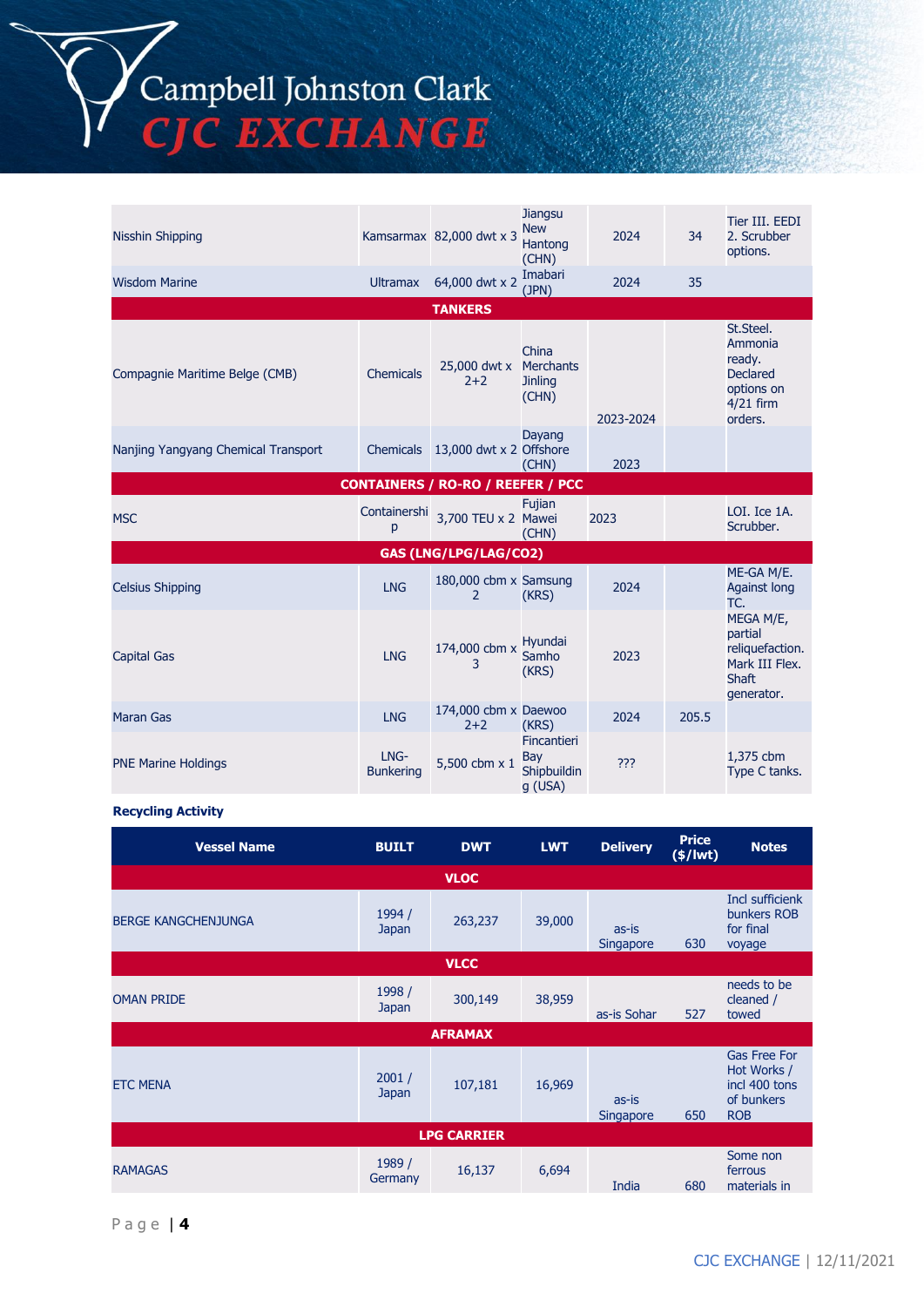Campbell Johnston Clark<br>CJC EXCHANGE

| Nisshin Shipping                    |                          | Kamsarmax 82,000 dwt x 3                 | Jiangsu<br><b>New</b><br>Hantong<br>(CHN)            | 2024      | 34    | Tier III. EEDI<br>2. Scrubber<br>options.                                                 |
|-------------------------------------|--------------------------|------------------------------------------|------------------------------------------------------|-----------|-------|-------------------------------------------------------------------------------------------|
| <b>Wisdom Marine</b>                | <b>Ultramax</b>          | 64,000 dwt x 2                           | Imabari<br>(JPN)                                     | 2024      | 35    |                                                                                           |
|                                     |                          | <b>TANKERS</b>                           |                                                      |           |       |                                                                                           |
| Compagnie Maritime Belge (CMB)      | Chemicals                | 25,000 dwt x<br>$2 + 2$                  | China<br><b>Merchants</b><br><b>Jinling</b><br>(CHN) | 2023-2024 |       | St.Steel.<br>Ammonia<br>ready.<br><b>Declared</b><br>options on<br>$4/21$ firm<br>orders. |
| Nanjing Yangyang Chemical Transport | Chemicals                | 13,000 dwt x 2 Offshore                  | Dayang<br>(CHN)                                      | 2023      |       |                                                                                           |
|                                     |                          | <b>CONTAINERS / RO-RO / REEFER / PCC</b> |                                                      |           |       |                                                                                           |
| <b>MSC</b>                          | Containershi<br>p        | 3,700 TEU x 2 Mawei                      | Fujian<br>(CHN)                                      | 2023      |       | LOI. Ice 1A.<br>Scrubber.                                                                 |
|                                     |                          | GAS (LNG/LPG/LAG/CO2)                    |                                                      |           |       |                                                                                           |
| <b>Celsius Shipping</b>             | <b>LNG</b>               | 180,000 cbm x Samsung<br>2               | (KRS)                                                | 2024      |       | ME-GA M/E.<br><b>Against long</b><br>TC.                                                  |
| <b>Capital Gas</b>                  | <b>LNG</b>               | 174,000 cbm x<br>3                       | Hyundai<br>Samho<br>(KRS)                            | 2023      |       | MEGA M/E,<br>partial<br>reliquefaction.<br>Mark III Flex.<br><b>Shaft</b><br>generator.   |
| <b>Maran Gas</b>                    | <b>LNG</b>               | 174,000 cbm x Daewoo<br>$2 + 2$          | (KRS)                                                | 2024      | 205.5 |                                                                                           |
| <b>PNE Marine Holdings</b>          | LNG-<br><b>Bunkering</b> | 5,500 cbm x 1                            | <b>Fincantieri</b><br>Bay<br>Shipbuildin<br>g (USA)  | ???       |       | 1,375 cbm<br>Type C tanks.                                                                |

#### **Recycling Activity**

| <b>Vessel Name</b>         | <b>BUILT</b>      | <b>DWT</b>     | <b>LWT</b> | <b>Delivery</b>           | <b>Price</b><br>$(*)$ lwt) | <b>Notes</b>                                                                    |  |
|----------------------------|-------------------|----------------|------------|---------------------------|----------------------------|---------------------------------------------------------------------------------|--|
|                            |                   | <b>VLOC</b>    |            |                           |                            |                                                                                 |  |
| <b>BERGE KANGCHENJUNGA</b> | 1994 /<br>Japan   | 263,237        | 39,000     | as-is<br><b>Singapore</b> | 630                        | <b>Incl sufficienk</b><br>bunkers ROB<br>for final<br>voyage                    |  |
|                            |                   | <b>VLCC</b>    |            |                           |                            |                                                                                 |  |
| <b>OMAN PRIDE</b>          | 1998 /<br>Japan   | 300,149        | 38,959     | as-is Sohar               | 527                        | needs to be<br>cleaned /<br>towed                                               |  |
|                            |                   | <b>AFRAMAX</b> |            |                           |                            |                                                                                 |  |
| <b>ETC MENA</b>            | 2001/<br>Japan    | 107,181        | 16,969     | as-is<br>Singapore        | 650                        | <b>Gas Free For</b><br>Hot Works /<br>incl 400 tons<br>of bunkers<br><b>ROB</b> |  |
| <b>LPG CARRIER</b>         |                   |                |            |                           |                            |                                                                                 |  |
| <b>RAMAGAS</b>             | 1989 /<br>Germany | 16,137         | 6,694      | India                     | 680                        | Some non<br>ferrous<br>materials in                                             |  |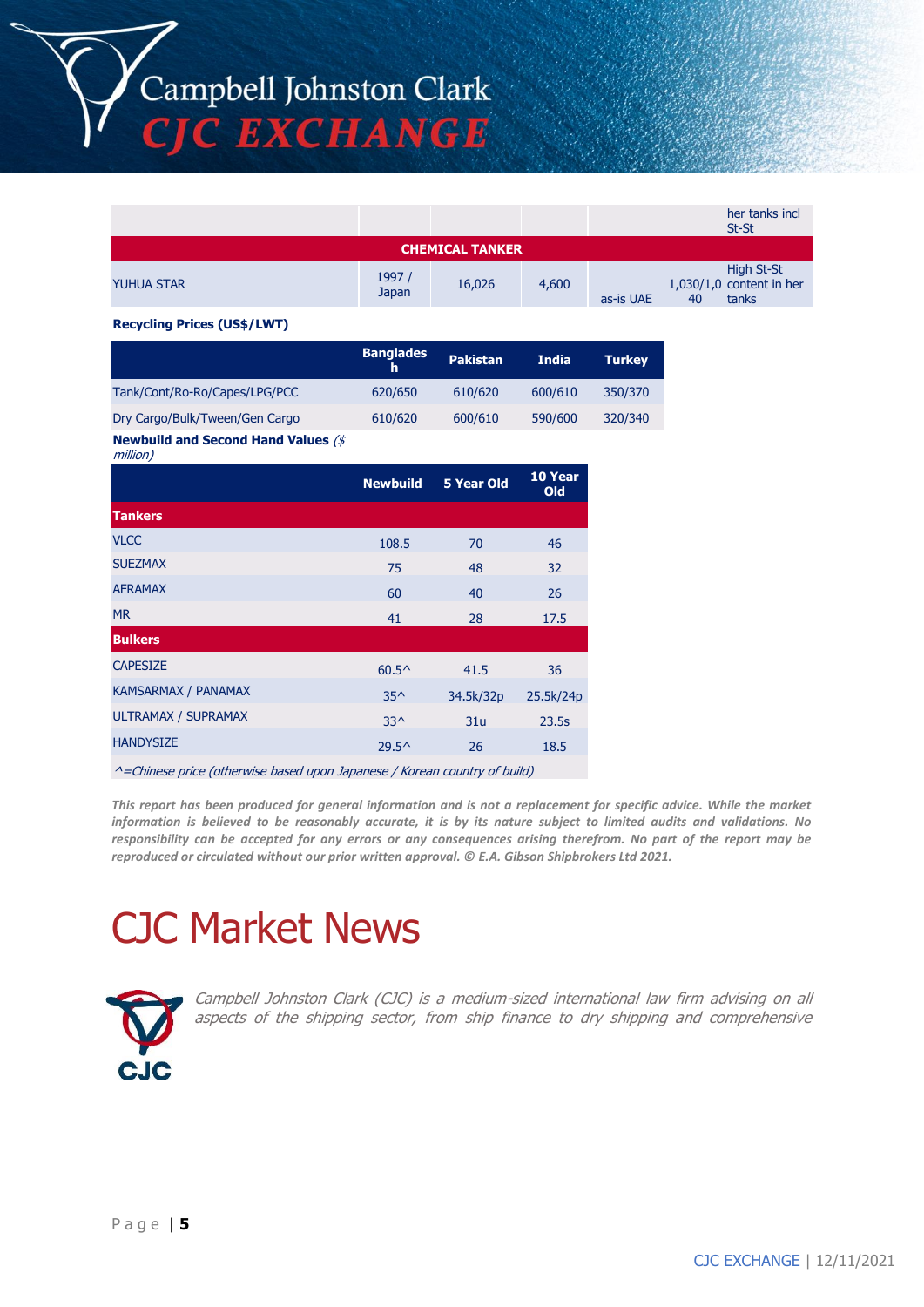Campbell Johnston Clark CJC EXCHANGE

|                   |                 |                        |       |                 | her tanks incl<br>St-St                           |
|-------------------|-----------------|------------------------|-------|-----------------|---------------------------------------------------|
|                   |                 | <b>CHEMICAL TANKER</b> |       |                 |                                                   |
| <b>YUHUA STAR</b> | 1997 /<br>Japan | 16,026                 | 4,600 | as-is UAE<br>40 | High St-St<br>$1,030/1,0$ content in her<br>tanks |

#### **Recycling Prices (US\$/LWT)**

|                                                          | <b>Banglades</b><br>h | <b>Pakistan</b> | <b>India</b> | <b>Turkey</b> |
|----------------------------------------------------------|-----------------------|-----------------|--------------|---------------|
| Tank/Cont/Ro-Ro/Capes/LPG/PCC                            | 620/650               | 610/620         | 600/610      | 350/370       |
| Dry Cargo/Bulk/Tween/Gen Cargo                           | 610/620               | 600/610         | 590/600      | 320/340       |
| <b>Newbuild and Second Hand Values (\$</b> )<br>million) |                       |                 |              |               |

|                     | <b>Newbuild</b> | <b>5 Year Old</b> | 10 Year<br>Old |
|---------------------|-----------------|-------------------|----------------|
| <b>Tankers</b>      |                 |                   |                |
| <b>VLCC</b>         | 108.5           | 70                | 46             |
| <b>SUEZMAX</b>      | 75              | 48                | 32             |
| <b>AFRAMAX</b>      | 60              | 40                | 26             |
| <b>MR</b>           | 41              | 28                | 17.5           |
| <b>Bulkers</b>      |                 |                   |                |
| <b>CAPESIZE</b>     | $60.5^{\circ}$  | 41.5              | 36             |
| KAMSARMAX / PANAMAX | $35^{\wedge}$   | 34.5k/32p         | 25.5k/24p      |
| ULTRAMAX / SUPRAMAX | $33^$           | 31u               | 23.5s          |
| <b>HANDYSIZE</b>    | $29.5^{\circ}$  | 26                | 18.5           |

^=Chinese price (otherwise based upon Japanese / Korean country of build)

*This report has been produced for general information and is not a replacement for specific advice. While the market information is believed to be reasonably accurate, it is by its nature subject to limited audits and validations. No responsibility can be accepted for any errors or any consequences arising therefrom. No part of the report may be reproduced or circulated without our prior written approval. © E.A. Gibson Shipbrokers Ltd 2021.*

# CJC Market News



Campbell Johnston Clark (CJC) is a medium-sized international law firm advising on all aspects of the shipping sector, from ship finance to dry shipping and comprehensive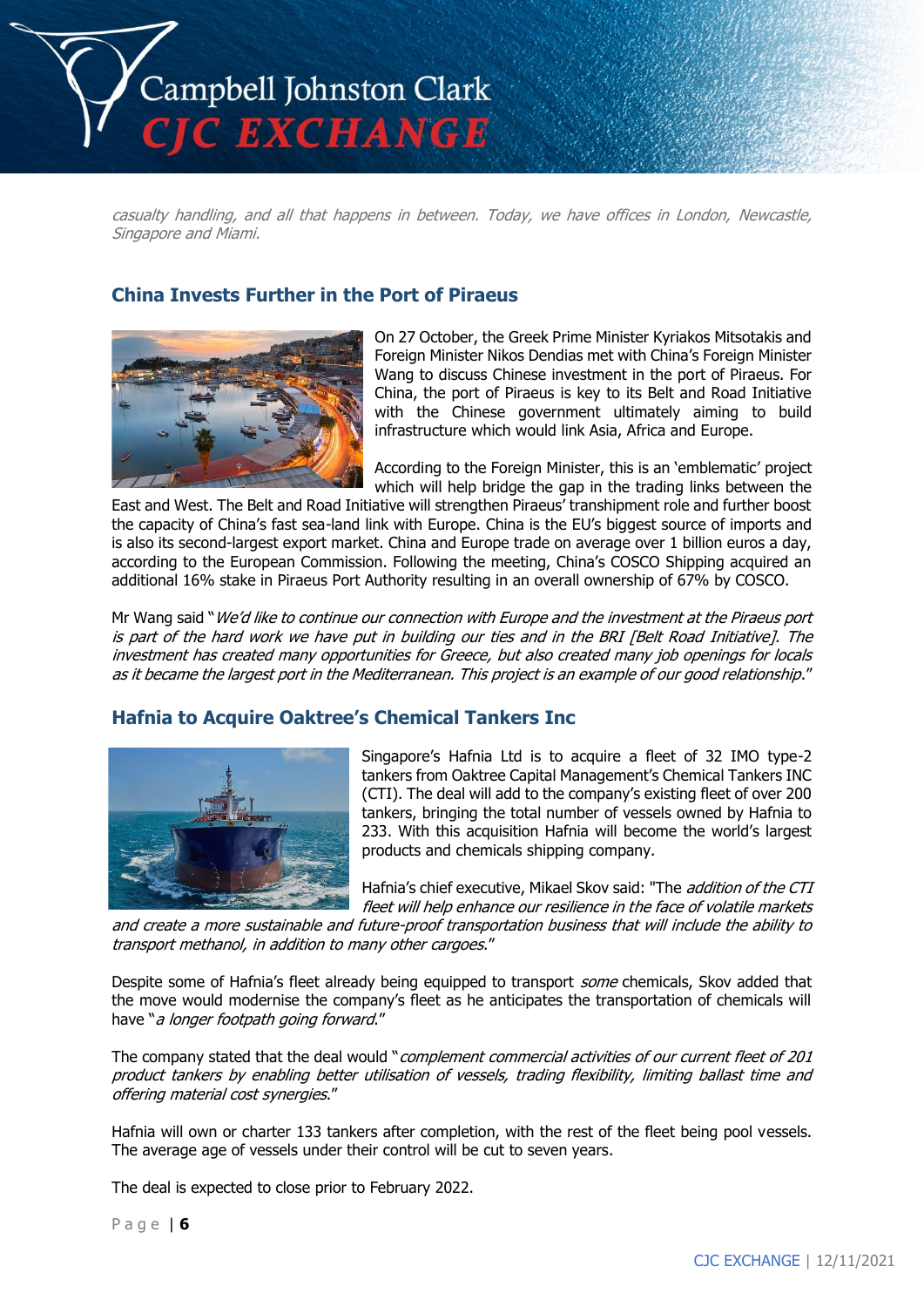

casualty handling, and all that happens in between. Today, we have offices in London, Newcastle, Singapore and Miami.

## **China Invests Further in the Port of Piraeus**



On 27 October, the Greek Prime Minister Kyriakos Mitsotakis and Foreign Minister Nikos Dendias met with China's Foreign Minister Wang to discuss Chinese investment in the port of Piraeus. For China, the port of Piraeus is key to its Belt and Road Initiative with the Chinese government ultimately aiming to build infrastructure which would link Asia, Africa and Europe.

According to the Foreign Minister, this is an 'emblematic' project which will help bridge the gap in the trading links between the

East and West. The Belt and Road Initiative will strengthen Piraeus' transhipment role and further boost the capacity of China's fast sea-land link with Europe. China is the EU's biggest source of imports and is also its second-largest export market. China and Europe trade on average over 1 billion euros a day, according to the European Commission. Following the meeting, China's COSCO Shipping acquired an additional 16% stake in Piraeus Port Authority resulting in an overall ownership of 67% by COSCO.

Mr Wang said "We'd like to continue our connection with Europe and the investment at the Piraeus port is part of the hard work we have put in building our ties and in the BRI [Belt Road Initiative]. The investment has created many opportunities for Greece, but also created many job openings for locals as it became the largest port in the Mediterranean. This project is an example of our good relationship."

#### **Hafnia to Acquire Oaktree's Chemical Tankers Inc**



Singapore's Hafnia Ltd is to acquire a fleet of 32 IMO type-2 tankers from Oaktree Capital Management's Chemical Tankers INC (CTI). The deal will add to the company's existing fleet of over 200 tankers, bringing the total number of vessels owned by Hafnia to 233. With this acquisition Hafnia will become the world's largest products and chemicals shipping company.

Hafnia's chief executive, Mikael Skov said: "The *addition of the CTI* fleet will help enhance our resilience in the face of volatile markets

and create a more sustainable and future-proof transportation business that will include the ability to transport methanol, in addition to many other cargoes."

Despite some of Hafnia's fleet already being equipped to transport some chemicals, Skov added that the move would modernise the company's fleet as he anticipates the transportation of chemicals will have "a longer footpath going forward."

The company stated that the deal would "complement commercial activities of our current fleet of 201 product tankers by enabling better utilisation of vessels, trading flexibility, limiting ballast time and offering material cost synergies."

Hafnia will own or charter 133 tankers after completion, with the rest of the fleet being pool vessels. The average age of vessels under their control will be cut to seven years.

The deal is expected to close prior to February 2022.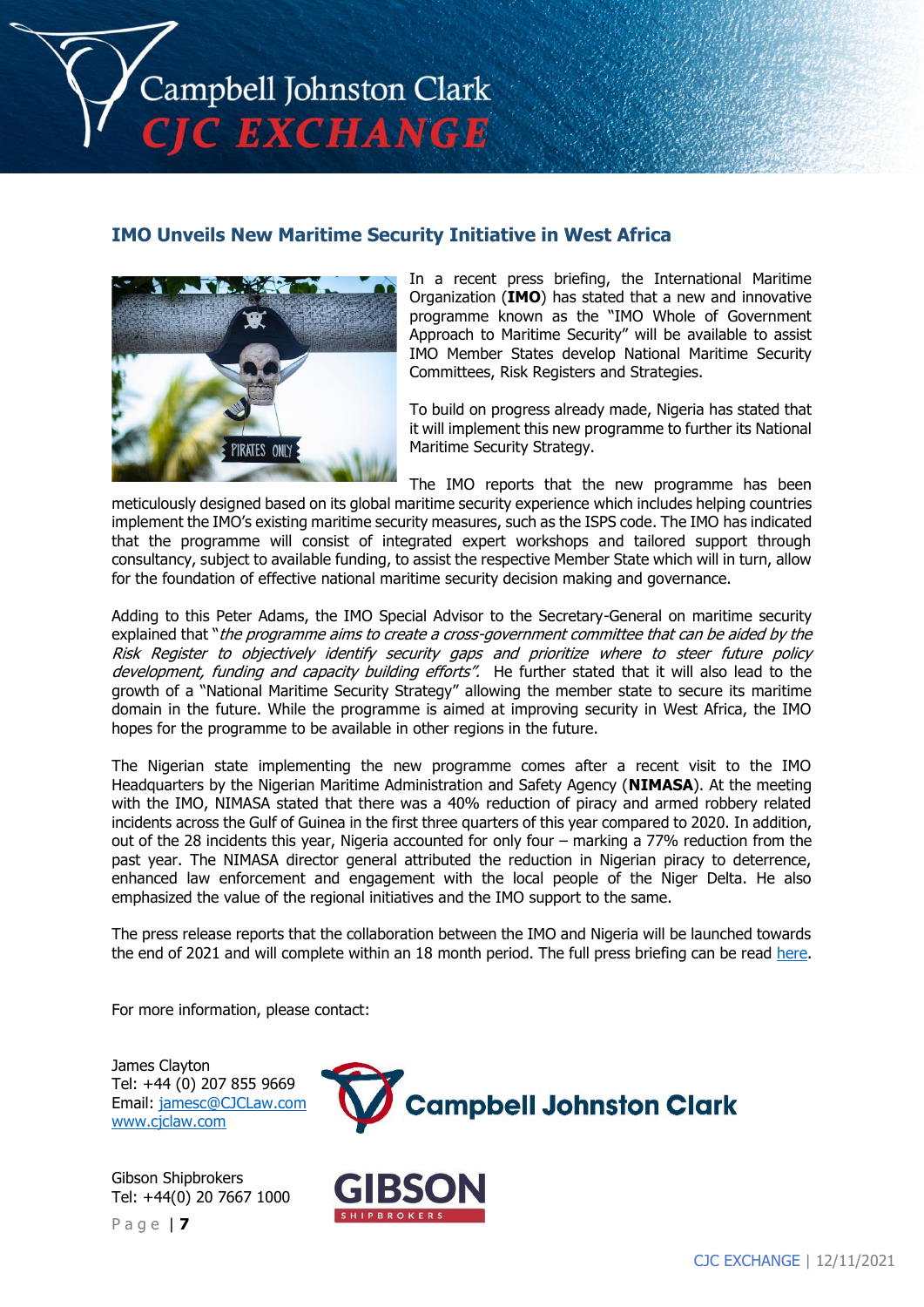

## **IMO Unveils New Maritime Security Initiative in West Africa**



In a recent press briefing, the International Maritime Organization (**IMO**) has stated that a new and innovative programme known as the "IMO Whole of Government Approach to Maritime Security" will be available to assist IMO Member States develop National Maritime Security Committees, Risk Registers and Strategies.

To build on progress already made, Nigeria has stated that it will implement this new programme to further its National Maritime Security Strategy.

The IMO reports that the new programme has been

meticulously designed based on its global maritime security experience which includes helping countries implement the IMO's existing maritime security measures, such as the ISPS code. The IMO has indicated that the programme will consist of integrated expert workshops and tailored support through consultancy, subject to available funding, to assist the respective Member State which will in turn, allow for the foundation of effective national maritime security decision making and governance.

Adding to this Peter Adams, the IMO Special Advisor to the Secretary-General on maritime security explained that "the programme aims to create a cross-government committee that can be aided by the Risk Register to objectively identify security gaps and prioritize where to steer future policy development, funding and capacity building efforts". He further stated that it will also lead to the growth of a "National Maritime Security Strategy" allowing the member state to secure its maritime domain in the future. While the programme is aimed at improving security in West Africa, the IMO hopes for the programme to be available in other regions in the future.

The Nigerian state implementing the new programme comes after a recent visit to the IMO Headquarters by the Nigerian Maritime Administration and Safety Agency (**NIMASA**). At the meeting with the IMO, NIMASA stated that there was a 40% reduction of piracy and armed robbery related incidents across the Gulf of Guinea in the first three quarters of this year compared to 2020. In addition, out of the 28 incidents this year, Nigeria accounted for only four – marking a 77% reduction from the past year. The NIMASA director general attributed the reduction in Nigerian piracy to deterrence, enhanced law enforcement and engagement with the local people of the Niger Delta. He also emphasized the value of the regional initiatives and the IMO support to the same.

The press release reports that the collaboration between the IMO and Nigeria will be launched towards the end of 2021 and will complete within an 18 month period. The full press briefing can be read [here.](https://www.imo.org/en/MediaCentre/PressBriefings/pages/IMOWholeof-Government-Approachto-MaritimeSecurity.aspx)

For more information, please contact:

James Clayton Tel: +44 (0) 207 855 9669 Email: [jamesc@CJCLaw.com](mailto:jamesc@CJCLaw.com) [www.cjclaw.com](http://www.cjclaw.com/)

Gibson Shipbrokers Tel: +44(0) 20 7667 1000

P a g e | **7**